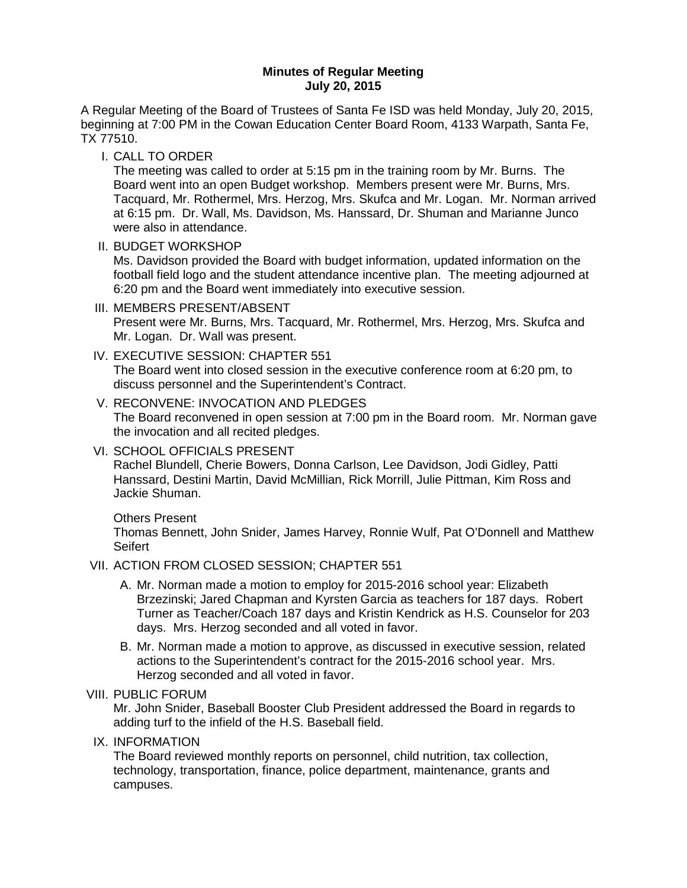### **Minutes of Regular Meeting July 20, 2015**

A Regular Meeting of the Board of Trustees of Santa Fe ISD was held Monday, July 20, 2015, beginning at 7:00 PM in the Cowan Education Center Board Room, 4133 Warpath, Santa Fe, TX 77510.

I. CALL TO ORDER

The meeting was called to order at 5:15 pm in the training room by Mr. Burns. The Board went into an open Budget workshop. Members present were Mr. Burns, Mrs. Tacquard, Mr. Rothermel, Mrs. Herzog, Mrs. Skufca and Mr. Logan. Mr. Norman arrived at 6:15 pm. Dr. Wall, Ms. Davidson, Ms. Hanssard, Dr. Shuman and Marianne Junco were also in attendance.

II. BUDGET WORKSHOP

Ms. Davidson provided the Board with budget information, updated information on the football field logo and the student attendance incentive plan. The meeting adjourned at 6:20 pm and the Board went immediately into executive session.

- III. MEMBERS PRESENT/ABSENT Present were Mr. Burns, Mrs. Tacquard, Mr. Rothermel, Mrs. Herzog, Mrs. Skufca and Mr. Logan. Dr. Wall was present.
- IV. EXECUTIVE SESSION: CHAPTER 551 The Board went into closed session in the executive conference room at 6:20 pm, to discuss personnel and the Superintendent's Contract.
- V. RECONVENE: INVOCATION AND PLEDGES The Board reconvened in open session at 7:00 pm in the Board room. Mr. Norman gave the invocation and all recited pledges.
- VI. SCHOOL OFFICIALS PRESENT Rachel Blundell, Cherie Bowers, Donna Carlson, Lee Davidson, Jodi Gidley, Patti Hanssard, Destini Martin, David McMillian, Rick Morrill, Julie Pittman, Kim Ross and Jackie Shuman.

## Others Present

Thomas Bennett, John Snider, James Harvey, Ronnie Wulf, Pat O'Donnell and Matthew **Seifert** 

## VII. ACTION FROM CLOSED SESSION; CHAPTER 551

- A. Mr. Norman made a motion to employ for 2015-2016 school year: Elizabeth Brzezinski; Jared Chapman and Kyrsten Garcia as teachers for 187 days. Robert Turner as Teacher/Coach 187 days and Kristin Kendrick as H.S. Counselor for 203 days. Mrs. Herzog seconded and all voted in favor.
- B. Mr. Norman made a motion to approve, as discussed in executive session, related actions to the Superintendent's contract for the 2015-2016 school year. Mrs. Herzog seconded and all voted in favor.

## VIII. PUBLIC FORUM

Mr. John Snider, Baseball Booster Club President addressed the Board in regards to adding turf to the infield of the H.S. Baseball field.

IX. INFORMATION

The Board reviewed monthly reports on personnel, child nutrition, tax collection, technology, transportation, finance, police department, maintenance, grants and campuses.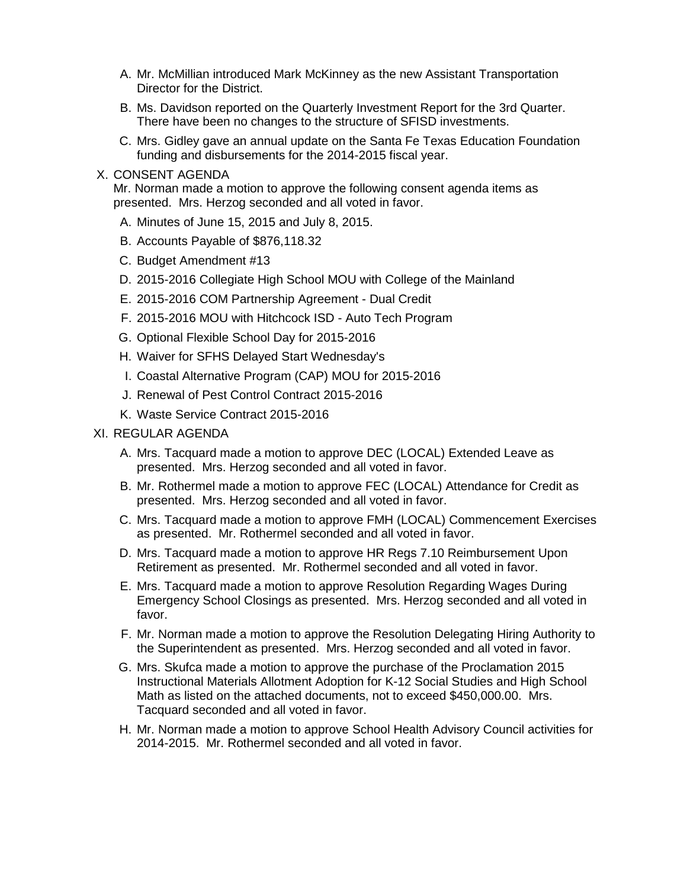- A. Mr. McMillian introduced Mark McKinney as the new Assistant Transportation Director for the District.
- B. Ms. Davidson reported on the Quarterly Investment Report for the 3rd Quarter. There have been no changes to the structure of SFISD investments.
- C. Mrs. Gidley gave an annual update on the Santa Fe Texas Education Foundation funding and disbursements for the 2014-2015 fiscal year.

#### X. CONSENT AGENDA

Mr. Norman made a motion to approve the following consent agenda items as presented. Mrs. Herzog seconded and all voted in favor.

- A. Minutes of June 15, 2015 and July 8, 2015.
- B. Accounts Payable of \$876,118.32
- C. Budget Amendment #13
- D. 2015-2016 Collegiate High School MOU with College of the Mainland
- E. 2015-2016 COM Partnership Agreement Dual Credit
- F. 2015-2016 MOU with Hitchcock ISD Auto Tech Program
- G. Optional Flexible School Day for 2015-2016
- H. Waiver for SFHS Delayed Start Wednesday's
- I. Coastal Alternative Program (CAP) MOU for 2015-2016
- J. Renewal of Pest Control Contract 2015-2016
- K. Waste Service Contract 2015-2016

## XI. REGULAR AGENDA

- A. Mrs. Tacquard made a motion to approve DEC (LOCAL) Extended Leave as presented. Mrs. Herzog seconded and all voted in favor.
- B. Mr. Rothermel made a motion to approve FEC (LOCAL) Attendance for Credit as presented. Mrs. Herzog seconded and all voted in favor.
- C. Mrs. Tacquard made a motion to approve FMH (LOCAL) Commencement Exercises as presented. Mr. Rothermel seconded and all voted in favor.
- D. Mrs. Tacquard made a motion to approve HR Regs 7.10 Reimbursement Upon Retirement as presented. Mr. Rothermel seconded and all voted in favor.
- E. Mrs. Tacquard made a motion to approve Resolution Regarding Wages During Emergency School Closings as presented. Mrs. Herzog seconded and all voted in favor.
- F. Mr. Norman made a motion to approve the Resolution Delegating Hiring Authority to the Superintendent as presented. Mrs. Herzog seconded and all voted in favor.
- G. Mrs. Skufca made a motion to approve the purchase of the Proclamation 2015 Instructional Materials Allotment Adoption for K-12 Social Studies and High School Math as listed on the attached documents, not to exceed \$450,000.00. Mrs. Tacquard seconded and all voted in favor.
- H. Mr. Norman made a motion to approve School Health Advisory Council activities for 2014-2015. Mr. Rothermel seconded and all voted in favor.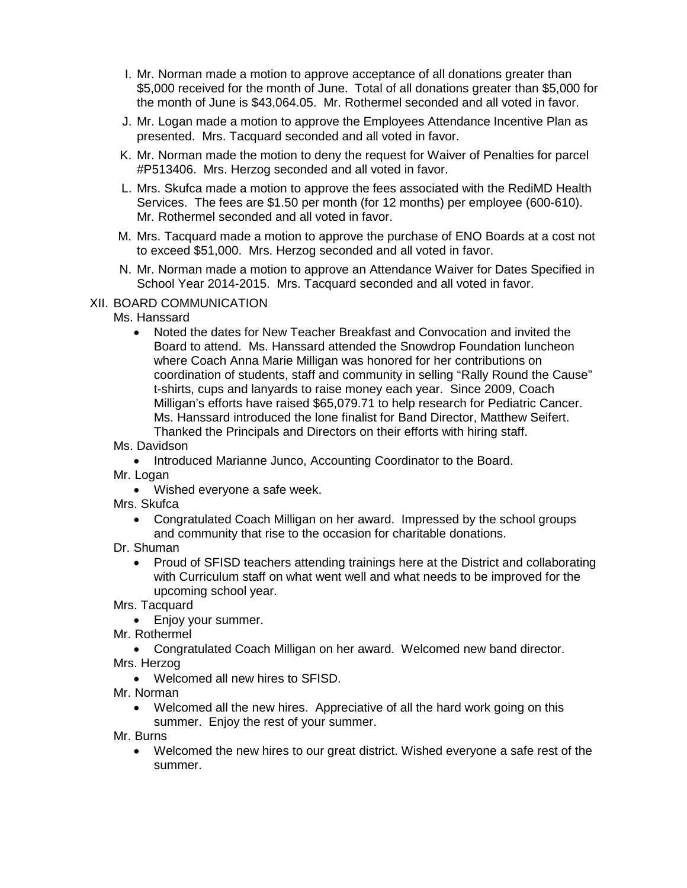- I. Mr. Norman made a motion to approve acceptance of all donations greater than \$5,000 received for the month of June. Total of all donations greater than \$5,000 for the month of June is \$43,064.05. Mr. Rothermel seconded and all voted in favor.
- J. Mr. Logan made a motion to approve the Employees Attendance Incentive Plan as presented. Mrs. Tacquard seconded and all voted in favor.
- K. Mr. Norman made the motion to deny the request for Waiver of Penalties for parcel #P513406. Mrs. Herzog seconded and all voted in favor.
- L. Mrs. Skufca made a motion to approve the fees associated with the RediMD Health Services. The fees are \$1.50 per month (for 12 months) per employee (600-610). Mr. Rothermel seconded and all voted in favor.
- M. Mrs. Tacquard made a motion to approve the purchase of ENO Boards at a cost not to exceed \$51,000. Mrs. Herzog seconded and all voted in favor.
- N. Mr. Norman made a motion to approve an Attendance Waiver for Dates Specified in School Year 2014-2015. Mrs. Tacquard seconded and all voted in favor.

## XII. BOARD COMMUNICATION

# Ms. Hanssard

- Noted the dates for New Teacher Breakfast and Convocation and invited the Board to attend. Ms. Hanssard attended the Snowdrop Foundation luncheon where Coach Anna Marie Milligan was honored for her contributions on coordination of students, staff and community in selling "Rally Round the Cause" t-shirts, cups and lanyards to raise money each year. Since 2009, Coach Milligan's efforts have raised \$65,079.71 to help research for Pediatric Cancer. Ms. Hanssard introduced the lone finalist for Band Director, Matthew Seifert. Thanked the Principals and Directors on their efforts with hiring staff.
- Ms. Davidson
	- Introduced Marianne Junco, Accounting Coordinator to the Board.
- Mr. Logan
	- Wished everyone a safe week.
- Mrs. Skufca
	- Congratulated Coach Milligan on her award. Impressed by the school groups and community that rise to the occasion for charitable donations.
- Dr. Shuman
	- Proud of SFISD teachers attending trainings here at the District and collaborating with Curriculum staff on what went well and what needs to be improved for the upcoming school year.

Mrs. Tacquard

- Enjoy your summer.
- Mr. Rothermel
- Congratulated Coach Milligan on her award. Welcomed new band director. Mrs. Herzog
	- Welcomed all new hires to SFISD.
- Mr. Norman
	- Welcomed all the new hires. Appreciative of all the hard work going on this summer. Enjoy the rest of your summer.

Mr. Burns

• Welcomed the new hires to our great district. Wished everyone a safe rest of the summer.